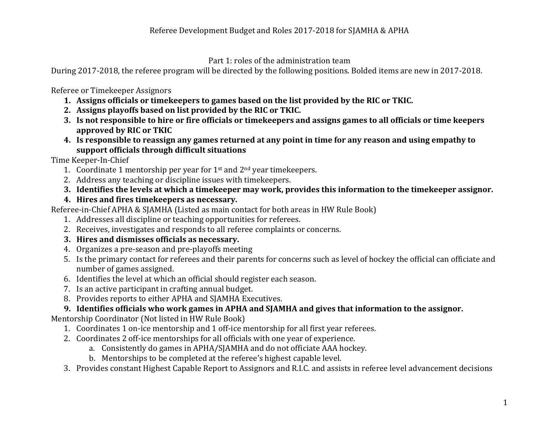Part 1: roles of the administration team

During 2017-2018, the referee program will be directed by the following positions. Bolded items are new in 2017-2018.

Referee or Timekeeper Assignors

- 1. Assigns officials or timekeepers to games based on the list provided by the RIC or TKIC.
- **2.** Assigns playoffs based on list provided by the RIC or TKIC.
- **3.** Is not responsible to hire or fire officials or timekeepers and assigns games to all officials or time keepers approved by RIC or TKIC
- **4.** Is responsible to reassign any games returned at any point in time for any reason and using empathy to **support officials through difficult situations**

Time Keeper-In-Chief

- 1. Coordinate 1 mentorship per year for  $1<sup>st</sup>$  and  $2<sup>nd</sup>$  year timekeepers.
- 2. Address any teaching or discipline issues with timekeepers.
- **3.** Identifies the levels at which a timekeeper may work, provides this information to the timekeeper assignor.
- **4.** Hires and fires timekeepers as necessary.

Referee-in-Chief APHA & SJAMHA (Listed as main contact for both areas in HW Rule Book)

- 1. Addresses all discipline or teaching opportunities for referees.
- 2. Receives, investigates and responds to all referee complaints or concerns.
- **3.** Hires and dismisses officials as necessary.
- 4. Organizes a pre-season and pre-playoffs meeting
- 5. Is the primary contact for referees and their parents for concerns such as level of hockey the official can officiate and number of games assigned.
- 6. Identifies the level at which an official should register each season.
- 7. Is an active participant in crafting annual budget.
- 8. Provides reports to either APHA and SJAMHA Executives.

## **9.** Identifies officials who work games in APHA and SJAMHA and gives that information to the assignor.

Mentorship Coordinator (Not listed in HW Rule Book)

- 1. Coordinates 1 on-ice mentorship and 1 off-ice mentorship for all first year referees.
- 2. Coordinates 2 off-ice mentorships for all officials with one vear of experience.
	- a. Consistently do games in APHA/SJAMHA and do not officiate AAA hockey.
	- b. Mentorships to be completed at the referee's highest capable level.
- 3. Provides constant Highest Capable Report to Assignors and R.I.C. and assists in referee level advancement decisions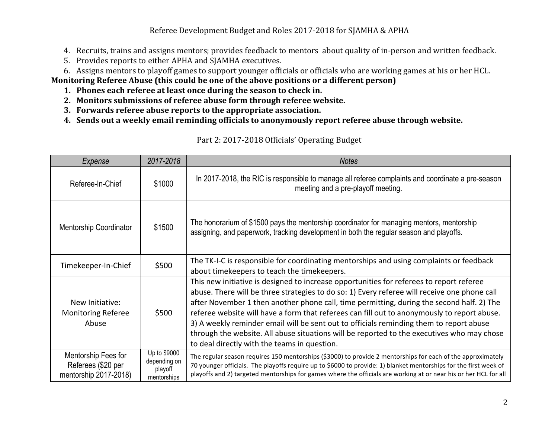Referee Development Budget and Roles 2017-2018 for SJAMHA & APHA

- 4. Recruits, trains and assigns mentors; provides feedback to mentors about quality of in-person and written feedback.
- 5. Provides reports to either APHA and SJAMHA executives.
- 6. Assigns mentors to playoff games to support younger officials or officials who are working games at his or her HCL.

**Monitoring Referee Abuse (this could be one of the above positions or a different person)** 

- 1. Phones each referee at least once during the season to check in.
- 2. Monitors submissions of referee abuse form through referee website.
- **3.** Forwards referee abuse reports to the appropriate association.
- **4.** Sends out a weekly email reminding officials to anonymously report referee abuse through website.

| Expense                                                            | 2017-2018                                              | <b>Notes</b>                                                                                                                                                                                                                                                                                                                                                                                                                                                                                                                                                                                                                  |
|--------------------------------------------------------------------|--------------------------------------------------------|-------------------------------------------------------------------------------------------------------------------------------------------------------------------------------------------------------------------------------------------------------------------------------------------------------------------------------------------------------------------------------------------------------------------------------------------------------------------------------------------------------------------------------------------------------------------------------------------------------------------------------|
| Referee-In-Chief                                                   | \$1000                                                 | In 2017-2018, the RIC is responsible to manage all referee complaints and coordinate a pre-season<br>meeting and a pre-playoff meeting.                                                                                                                                                                                                                                                                                                                                                                                                                                                                                       |
| <b>Mentorship Coordinator</b>                                      | \$1500                                                 | The honorarium of \$1500 pays the mentorship coordinator for managing mentors, mentorship<br>assigning, and paperwork, tracking development in both the regular season and playoffs.                                                                                                                                                                                                                                                                                                                                                                                                                                          |
| Timekeeper-In-Chief                                                | \$500                                                  | The TK-I-C is responsible for coordinating mentorships and using complaints or feedback<br>about timekeepers to teach the timekeepers.                                                                                                                                                                                                                                                                                                                                                                                                                                                                                        |
| New Initiative:<br><b>Monitoring Referee</b><br>Abuse              | \$500                                                  | This new initiative is designed to increase opportunities for referees to report referee<br>abuse. There will be three strategies to do so: 1) Every referee will receive one phone call<br>after November 1 then another phone call, time permitting, during the second half. 2) The<br>referee website will have a form that referees can fill out to anonymously to report abuse.<br>3) A weekly reminder email will be sent out to officials reminding them to report abuse<br>through the website. All abuse situations will be reported to the executives who may chose<br>to deal directly with the teams in question. |
| Mentorship Fees for<br>Referees (\$20 per<br>mentorship 2017-2018) | Up to \$9000<br>depending on<br>playoff<br>mentorships | The regular season requires 150 mentorships (\$3000) to provide 2 mentorships for each of the approximately<br>70 younger officials. The playoffs require up to \$6000 to provide: 1) blanket mentorships for the first week of<br>playoffs and 2) targeted mentorships for games where the officials are working at or near his or her HCL for all                                                                                                                                                                                                                                                                           |

## Part 2: 2017-2018 Officials' Operating Budget